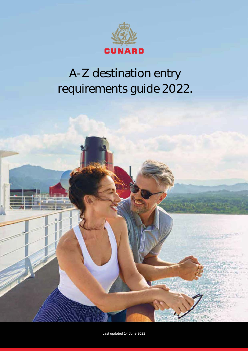

# A-Z destination entry requirements guide 2022.



Last updated 14 June 2022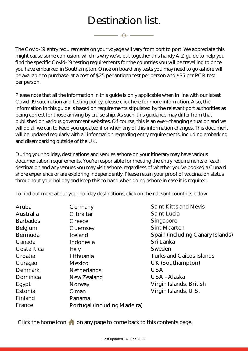|                                                                                                                                                                                         | Destination list.                                                                                                                                                                                          |                                                                                                                                                                                                                                                                                                                                                                                                                                                                                                                                                                                                                                                                                                                 |
|-----------------------------------------------------------------------------------------------------------------------------------------------------------------------------------------|------------------------------------------------------------------------------------------------------------------------------------------------------------------------------------------------------------|-----------------------------------------------------------------------------------------------------------------------------------------------------------------------------------------------------------------------------------------------------------------------------------------------------------------------------------------------------------------------------------------------------------------------------------------------------------------------------------------------------------------------------------------------------------------------------------------------------------------------------------------------------------------------------------------------------------------|
|                                                                                                                                                                                         | $\longrightarrow$ $\longrightarrow$ $\longrightarrow$ $\longrightarrow$                                                                                                                                    |                                                                                                                                                                                                                                                                                                                                                                                                                                                                                                                                                                                                                                                                                                                 |
| per person.                                                                                                                                                                             |                                                                                                                                                                                                            | The Covid-19 entry requirements on your voyage will vary from port to port. We appreciate this<br>might cause some confusion, which is why we've put together this handy A-Z guide to help you<br>find the specific Covid-19 testing requirements for the countries you will be travelling to once<br>you have embarked in Southampton. Once on board any tests you may need to go ashore will<br>be available to purchase, at a cost of \$25 per antigen test per person and \$35 per PCR test                                                                                                                                                                                                                 |
| and disembarking outside of the UK.                                                                                                                                                     |                                                                                                                                                                                                            | Please note that all the information in this guide is only applicable when in line with our latest<br>Covid-19 vaccination and testing policy, please click here for more information. Also, the<br>information in this guide is based on requirements stipulated by the relevant port authorities as<br>being correct for those arriving by cruise ship. As such, this guidance may differ from that<br>published on various government websites. Of course, this is an ever-changing situation and we<br>will do all we can to keep you updated if or when any of this information changes. This document<br>will be updated regularly with all information regarding entry requirements, including embarking |
|                                                                                                                                                                                         |                                                                                                                                                                                                            | During your holiday, destinations and venues ashore on your itinerary may have various<br>documentation requirements. You're responsible for meeting the entry requirements of each<br>destination and any venues you may visit ashore, regardless of whether you've booked a Cunard<br>shore experience or are exploring independently. Please retain your proof of vaccination status<br>throughout your holiday and keep this to hand when going ashore in case it is required.                                                                                                                                                                                                                              |
|                                                                                                                                                                                         |                                                                                                                                                                                                            | To find out more about your holiday destinations, click on the relevant countries below.                                                                                                                                                                                                                                                                                                                                                                                                                                                                                                                                                                                                                        |
| Aruba<br>Australia<br><b>Barbados</b><br>Belgium<br><b>Bermuda</b><br>Canada<br>Costa Rica<br>Croatia<br>Curaçao<br><b>Denmark</b><br>Dominica<br>Egypt<br>Estonia<br>Finland<br>France | Germany<br>Gibraltar<br>Greece<br>Guernsey<br>Iceland<br>Indonesia<br><b>Italy</b><br>Lithuania<br>Mexico<br><b>Netherlands</b><br>New Zealand<br>Norway<br>Oman<br>Panama<br>Portugal (including Madeira) | <b>Saint Kitts and Nevis</b><br><b>Saint Lucia</b><br>Singapore<br><b>Sint Maarten</b><br>Spain (including Canary Islands)<br>Sri Lanka<br>Sweden<br><b>Turks and Caicos Islands</b><br>UK (Southampton)<br><b>USA</b><br>USA - Alaska<br>Virgin Islands, British<br>Virgin Islands, U.S.                                                                                                                                                                                                                                                                                                                                                                                                                       |
|                                                                                                                                                                                         |                                                                                                                                                                                                            | Click the home icon $\bigcap$ on any page to come back to this contents page.                                                                                                                                                                                                                                                                                                                                                                                                                                                                                                                                                                                                                                   |
| Last updated 14 June 2022                                                                                                                                                               |                                                                                                                                                                                                            |                                                                                                                                                                                                                                                                                                                                                                                                                                                                                                                                                                                                                                                                                                                 |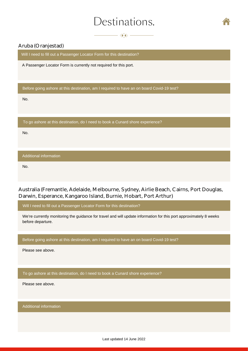$\longrightarrow$   $\longrightarrow$   $\longrightarrow$   $\longrightarrow$ 



## <span id="page-2-0"></span>Aruba (Oranjestad)

Will I need to fill out a Passenger Locator Form for this destination?

A Passenger Locator Form is currently not required for this port.

Before going ashore at this destination, am I required to have an on board Covid-19 test?

No.

To go ashore at this destination, do I need to book a Cunard shore experience?

No.

Additional information

Australia (Fremantle, Adelaide, Melbourne, Sydney, Airlie Beach, Cairns, Port Douglas, Darwin, Esperance, Kangaroo Island, Burnie, Hobart, Port Arthur) No.<br>Ustralia (Frem<br>arwin, Esperal<br>Will I need to fill ou<br>We're currently mo<br>before departure.<br>Before going asho<br>Please see above.<br>To go ashore at th<br>Please see above.

Will I need to fill out a Passenger Locator Form for this destination?

We're currently monitoring the guidance for travel and will update information for this port approximately 8 weeks before departure.

Before going ashore at this destination, am I required to have an on board Covid-19 test?

Please see above.

To go ashore at this destination, do I need to book a Cunard shore experience?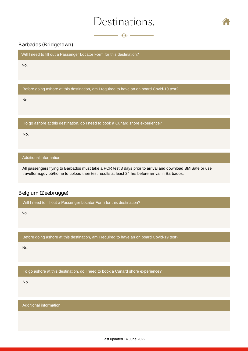$\longrightarrow$   $\bullet$   $\rightarrow$ 



### <span id="page-3-0"></span>Barbados (Bridgetown)

Will I need to fill out a Passenger Locator Form for this destination?

No.

Before going ashore at this destination, am I required to have an on board Covid-19 test?

No.

No.<br>To g<br>No. To go ashore at this destination, do I need to book a Cunard shore experience?

No.

### Additional information

All passengers flying to Barbados must take a PCR test 3 days pr[ior to arrival and download](https://travelform.gov.bb/home) BMISafe or use travelform.gov.bb/home to upload their test results at least 24 hrs before arrival in Barbados.

### Belgium (Zeebrugge)

Will I need to fill out a Passenger Locator Form for this destination?

No.

No. No. Before going ashore at this destination, am I required to have an on board Covid-19 test?

No.

To go ashore at this destination, do I need to book a Cunard shore experience?

No.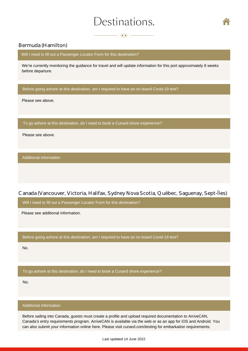$\longrightarrow$   $\bullet$   $\rightarrow$ 



### <span id="page-4-0"></span>Bermuda (Hamilton)

We're currently monitoring the guidance for travel and will update information for this port approximately 8 weeks before departure.

Please see above.

Please see above.

Canada (Vancouver, Victoria, Halifax, Sydney Nova Scotia, Québec, Saguenay, Sept-Îles)

. Please see additional information.

No.

No.

Before sailing into Canada, guests must create a profile and upload required documentation to ArriveCAN, Canada's entry requirements program. ArriveCAN is available via the web or as an app for iOS and Android. You We'll reeal to fill out a Passenger Locator Form for this destivation?<br>We'll real comparing the guidance for travel and will update information for this port approximately 8 we<br>below dependent.<br>Below dependent at this dest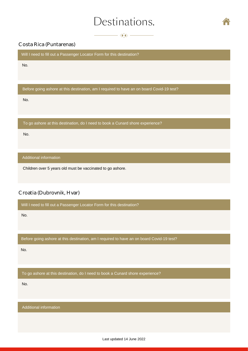$\longrightarrow$   $\bullet$   $\rightarrow$ 



Will I need to fill out a Passenger Locator Form for this destination?

No.

Before going ashore at this destination, am I required to have an on board Covid-19 test?

No.

To go ashore at this destination, do I need to book a Cunard shore experience?

No.

Additional information

Children over 5 years old must be vaccinated to go ashore.

# <span id="page-5-0"></span>Costa Rica (Puntarenas)<br>
Will I need to fill out a Passenger<br>
No.<br>
Before going ashore at this destin<br>
No.<br>
To go ashore at this destination,<br>
No.<br>
Additional information<br>
Children over 5 years old must be<br>
Croatia (Dubrov

Will I need to fill out a Passenger Locator Form for this destination?

No.

Before going ashore at this destination, am I required to have an on board Covid-19 test?

No.

To go ashore at this destination, do I need to book a Cunard shore experience?

No.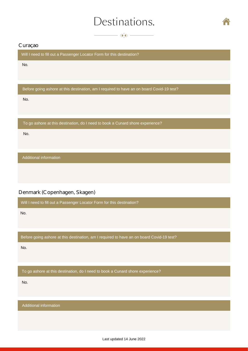$\longrightarrow$   $\bullet$   $\longrightarrow$ 



Will I need to fill out a Passenger Locator Form for this destination?

No.

Before going ashore at this destination, am I required to have an on board Covid-19 test?

No.

To go ashore at this destination, do I need to book a Cunard shore experience?

No.

Additional information

# <span id="page-6-0"></span>Curaçao<br>
Will I need to fill out a Passenger Locator F<br>
No.<br>
Before going ashore at this destination, an<br>
No.<br>
To go ashore at this destination, do I need<br>
No.<br>
Additional information<br>
Denmark (Copenhagen, Skagen)

Will I need to fill out a Passenger Locator Form for this destination?

No.

Before going ashore at this destination, am I required to have an on board Covid-19 test?

No.

To go ashore at this destination, do I need to book a Cunard shore experience?

No.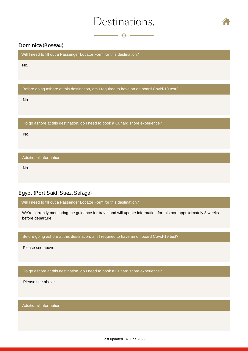$\longrightarrow$  400  $\longrightarrow$ 



No.

Before going ashore at this destination, am I required to have an on board Covid-19 test?

No.

To go ashore at this destination, do I need to book a Cunard shore experience?

No.

Additional information

No.

# Egypt (Port Said, Suez, Safaga)

Will I need to fill out a Passenger Locator Form for this destination?

<span id="page-7-0"></span>We're currently monitoring the guidance for travel and will update information for this port approximately 8 weeks before departure. Dominica (Roseau)<br>
Will I need to fill out a Passenger Locator Form for this destination?<br>
No.<br>
Before going ashore at this destination, am I required to have an o<br>
No.<br>
To go ashore at this destination, do I need to book

Before going ashore at this destination, am I required to have an on board Covid-19 test?

Please see above.

To go ashore at this destination, do I need to book a Cunard shore experience?

Please see above.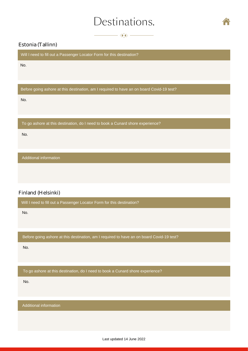$\longrightarrow$   $\circledast$ 



<span id="page-8-0"></span>Estonia (Tallinn)<br>Will I need to fill out a Passenger Locator Form for this destination?

No.

Before going ashore at this destination, am I required to have an on board Covid-19 test?

No.

To go ashore at this destination, do I need to book a Cunard shore experience?

No.

# Additional information<br>
inland (Helsinki)<br>
Will I need to fill out a<br>
No.<br>
Before going ashore a<br>
No.<br>
To go ashore at this o<br>
No.<br>
Additional information

No.

Finland (Helsinki)<br>
Will I need to fill out a Passenger Locator Form for this destination?<br>
No.<br>
Before going ashore at this destination, am I required to have an on bo<br>
No.<br>
To go ashore at this destination, do I need to Before going ashore at this destination, am I required to have an on board Covid-19 test?

No.

To go ashore at this destination, do I need to book a Cunard shore experience?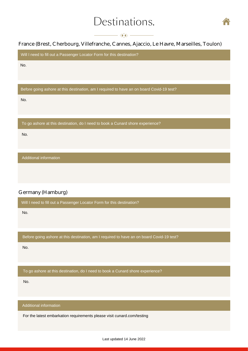

# $-\left\langle \!\!\!\left\langle \!\!\!\left\langle \!\!\!\left\langle \!\!\!\left\langle \!\!\!\left\langle \!\!\!\left\langle \!\!\!\left\langle \!\!\!\left\langle \!\!\!\left\langle \!\!\!\left\langle \!\!\!\left\langle \!\!\!\left\langle \!\!\!\left\langle \!\!\!\left\langle \!\!\!\left\langle \!\!\!\left\langle \!\!\!\left\langle \!\!\!\left\langle \!\!\!\left\langle \!\!\!\left\langle \!\!\!\left\langle \!\!\!\left\langle \!\!\!\left\langle \!\!\!\left\langle \!\!\!\left\langle \!\!\!\left\langle \!\!\!\left\langle \!\!\!\left\langle \!\!\!\left\langle \!\!\!\left\langle \!\!\!\left\$

<span id="page-9-0"></span>France (Brest, Cherbourg, Villefranche, Cannes, Ajaccio, Le Havre, Marseilles, Toulon)<br>Will I need to fill out a Passenger Locator Form for this destination?

No.

Before going ashore at this destination, am I required to have an on board Covid-19 test?

No.

To go ashore at this destination, do I need to book a Cunard shore experience?

No.

Additional information

No.

Germany (Hamburg)<br>
Will I need to fill out a Passenger Locator Form for this destination?<br>
No.<br>
Before going ashore at this destination, am I required to have an on bo<br>
No.<br>
To go ashore at this destination, do I need to b Before going ashore at this destination, am I required to have an on board Covid-19 test?

No.

To go ashore at this destination, do I need to book a Cunard shore experience?

No.

Additional information

For the latest embarkation requirements please visit [cunard.com/testing](www.cunard.com/testing)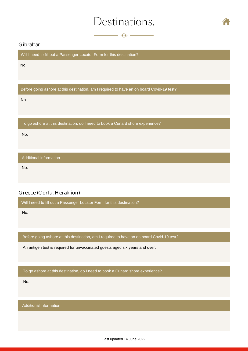$\longrightarrow$   $\longrightarrow$   $\longrightarrow$ 



<span id="page-10-0"></span>Gibraltar<br>Will I need to fill out a Passenger Locator Form for this destination?

No.

Before going ashore at this destination, am I required to have an on board Covid-19 test?

No.

To go ashore at this destination, do I need to book a Cunard shore experience?

No.

Additional information

No.

No.

Greece (Corfu, Heraklion)<br>
Will I need to fill out a Passenger Locator Form for this destination?<br>
No.<br>
Before going ashore at this destination, am I required to have an on bo<br>
An antigen test is required for unvaccinated Before going ashore at this destination, am I required to have an on board Covid-19 test?

An antigen test is required for unvaccinated guests aged six years and over.

To go ashore at this destination, do I need to book a Cunard shore experience?

No.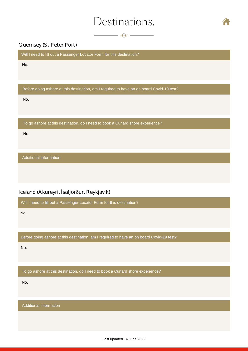$\longrightarrow$   $\bullet$   $\rightarrow$ 



### <span id="page-11-0"></span>Guernsey (St Peter Port)

Will I need to fill out a Passenger Locator Form for this destination?

No.

Before going ashore at this destination, am I required to have an on board Covid-19 test?

No.

To go ashore at this destination, do I need to book a Cunard shore experience?

No.

Additional information

# Iceland (Akureyri, Ísafjörður, Reykjavik)

Will I need to fill out a Passenger Locator Form for this destination?

No.

Before going ashore at this destination, am I required to have an on board Covid-19 test?

No.

To go ashore at this destination, do I need to book a Cunard shore experience?

No.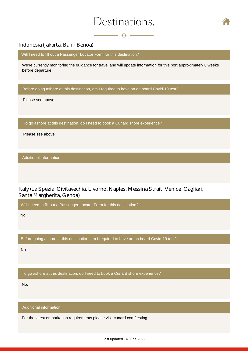$\longrightarrow$   $\iff$   $\longrightarrow$ 



### <span id="page-12-0"></span>Indonesia (Jakarta, Bali – Benoa)

Will I need to fill out a Passenger Locator Form for this destination?

We're currently monitoring the guidance for travel and will update information for this port approximately 8 weeks before departure.

Before going ashore at this destination, am I required to have an on board Covid-19 test?

Please see above.

To go ashore at this destination, do I need to book a Cunard shore experience?

Please see above.

Additional information

Italy (La Spezia, Civitavechia, Livorno, Naples, Messina Strait, Venice, Cagliari, Santa Margherita, Genoa)

Will I need to fill out a Passenger Locator Form for this destination?

No.

Before going ashore at this destination, am I required to have an on board Covid-19 test?

No.

To go ashore at this destination, do I need to book a Cunard shore experience?

No.

Additional information

For the latest embarkation requirements please visit<cunard.com/testing>

Last updated 14 June 2022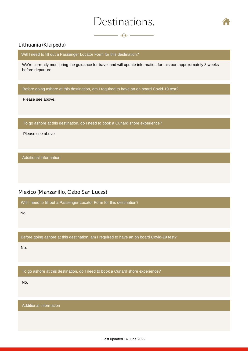$\longrightarrow$   $\ll\!\!\!\!\times$   $\longrightarrow$ 



### <span id="page-13-0"></span>Lithuania (Klaipėda)

Will I need to fill out a Passenger Locator Form for this destination?

We're currently monitoring the guidance for travel and will update information for this port approximately 8 weeks before departure.

Before going ashore at this destination, am I required to have an on board Covid-19 test?

Please see above.

To go ashore at this destination, do I need to book a Cunard shore experience?

Please see above.

Additional information

### Mexico (Manzanillo, Cabo San Lucas)

Will I need to fill out a Passenger Locator Form for this destination?

No.

Before going ashore at this destination, am I required to have an on board Covid-19 test?

No.

To go ashore at this destination, do I need to book a Cunard shore experience?

No.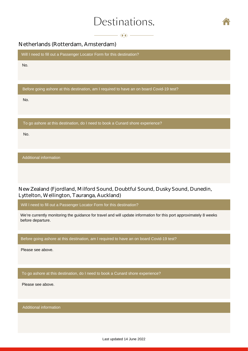$-\left\langle \!\!\left\langle \!\!\left\langle \!\!\left\langle \!\!\left\langle \!\!\left\langle x\!-\!\!\left\langle x\!-\!\!\left\langle x\!-\!\!\left\langle x\!-\!\!\left\langle x\!-\!\!\left\langle x\!-\!\!\left\langle x\!-\!\!\left\langle x\!-\!\!\left\langle x\!-\!\!\left\langle x\!-\!\!\left\langle x\!-\!\!\left\langle x\!-\!\!\left\langle x\!-\!\left\langle x\!-\!\left\langle x\!-\!\left\langle x\!-\!\left\langle x\!-\!\left\langle x\!-\!\left\langle x\!-\!\left\langle x\!-\!\left\langle x\!-\!\left\langle x\!-\!\left$ 



# <span id="page-14-0"></span>Netherlands (Rotterdam, Amsterdam)

Will I need to fill out a Passenger Locator Form for this destination?

No.

Before going ashore at this destination, am I required to have an on board Covid-19 test?

No.

To go ashore at this destination, do I need to book a Cunard shore experience?

No.

Additional information

New Zealand (Fjordland, Milford Sound, Doubtful Sound, Dusky Sound, Dunedin, Lyttelton, Wellington, Tauranga, Auckland)

Will I need to fill out a Passenger Locator Form for this destination?

We're currently monitoring the guidance for travel and will update information for this port approximately 8 weeks before departure.

Before going ashore at this destination, am I required to have an on board Covid-19 test?

Please see above.

To go ashore at this destination, do I need to book a Cunard shore experience?

Please see above.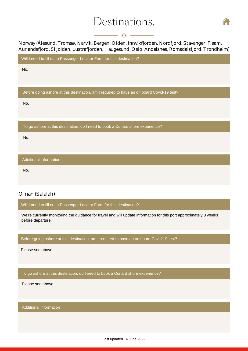

### $\longrightarrow$   $\langle \hat{\mathbf{x}} \rangle$   $\rightarrow$

<span id="page-15-0"></span>Norway (Ålesund, Tromsø, Narvik, Bergen, Olden, Innvikfjorden, Nordfjord, Stavanger, Flaam, Aurlandsfjord, Skjolden, Lustrafjorden, Haugesund, Oslo, Andalsnes, Romsdalsfjord, Trondheim)

Will I need to fill out a Passenger Locator Form for this destination?

No.

Before going ashore at this destination, am I required to have an on board Covid-19 test?

No.

To go ashore at this destination, do I need to book a Cunard shore experience?

No.

Additional information

No.

# Oman (Salalah)

Will I need to fill out a Passenger Locator Form for this destination?

We're currently monitoring the guidance for travel and will update information for this port approximately 8 weeks before departure.

Before going ashore at this destination, am I required to have an on board Covid-19 test?

Please see above.

To go ashore at this destination, do I need to book a Cunard shore experience?

Please see above.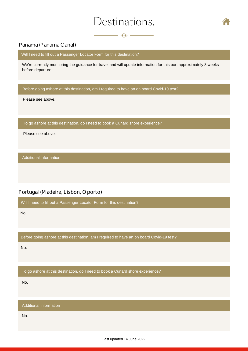$\longrightarrow$   $\bullet$   $\rightarrow$ 



### <span id="page-16-0"></span>Panama (Panama Canal)

Will I need to fill out a Passenger Locator Form for this destination?

We're currently monitoring the guidance for travel and will update information for this port approximately 8 weeks before departure.

Before going ashore at this destination, am I required to have an on board Covid-19 test?

Please see above.

To go ashore at this destination, do I need to book a Cunard shore experience?

Please see above.

Additional information

### Portugal (Madeira, Lisbon, Oporto)

Will I need to fill out a Passenger Locator Form for this destination?

No.

Before going ashore at this destination, am I required to have an on board Covid-19 test?

No.

To go ashore at this destination, do I need to book a Cunard shore experience?

No.

Additional information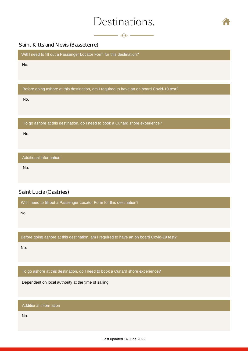$\longrightarrow$   $\bullet$   $\rightarrow$   $\rightarrow$ 



### <span id="page-17-0"></span>Saint Kitts and Nevis (Basseterre)

Will I need to fill out a Passenger Locator Form for this destination?

No.

Before going ashore at this destination, am I required to have an on board Covid-19 test?

No.

To go ashore at this destination, do I need to book a Cunard shore experience?

No.

Additional information

No.

# Saint Lucia (Castries)

Will I need to fill out a Passenger Locator Form for this destination?

No.

Before going ashore at this destination, am I required to have an on board Covid-19 test?

No.

To go ashore at this destination, do I need to book a Cunard shore experience?

Dependent on local authority at the time of sailing

Additional information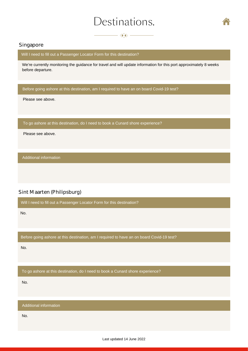$\overline{\phantom{a}}$   $\overline{\phantom{a}}$   $\overline{\phantom{a}}$   $\overline{\phantom{a}}$   $\overline{\phantom{a}}$   $\overline{\phantom{a}}$   $\overline{\phantom{a}}$   $\overline{\phantom{a}}$   $\overline{\phantom{a}}$   $\overline{\phantom{a}}$   $\overline{\phantom{a}}$   $\overline{\phantom{a}}$   $\overline{\phantom{a}}$   $\overline{\phantom{a}}$   $\overline{\phantom{a}}$   $\overline{\phantom{a}}$   $\overline{\phantom{a}}$   $\overline{\phantom{a}}$   $\overline{\$ 



### <span id="page-18-0"></span>Singapore

Will I need to fill out a Passenger Locator Form for this destination?

We're currently monitoring the guidance for travel and will update information for this port approximately 8 weeks before departure.

Before going ashore at this destination, am I required to have an on board Covid-19 test?

Please see above.

To go ashore at this destination, do I need to book a Cunard shore experience?

Please see above.

Additional information

# Sint Maarten (Philipsburg)

Will I need to fill out a Passenger Locator Form for this destination?

No.

Before going ashore at this destination, am I required to have an on board Covid-19 test?

No.

To go ashore at this destination, do I need to book a Cunard shore experience?

No.

Additional information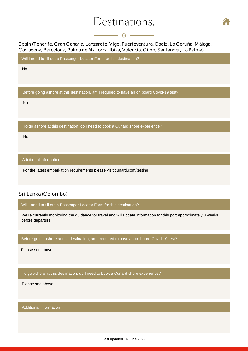$-$  K  $\gg -$ 



<span id="page-19-0"></span>Spain (Tenerife, Gran Canaria, Lanzarote, Vigo, Fuerteventura, Cádiz, La Coruña, Málaga, Cartagena, Barcelona, Palma de Mallorca, Ibiza, Valencia, Gijon, Santander, La Palma)

Will I need to fill out a Passenger Locator Form for this destination?

No.

Before going ashore at this destination, am I required to have an on board Covid-19 test?

No.

To go ashore at this destination, do I need to book a Cunard shore experience?

No.

Additional information

For the latest embarkation requirements please visit [cunard.com/testing](www.cunard.com/testing)

### Sri Lanka (Colombo)

Will I need to fill out a Passenger Locator Form for this destination?

We're currently monitoring the guidance for travel and will update information for this port approximately 8 weeks before departure.

Before going ashore at this destination, am I required to have an on board Covid-19 test?

Please see above.

To go ashore at this destination, do I need to book a Cunard shore experience?

Please see above.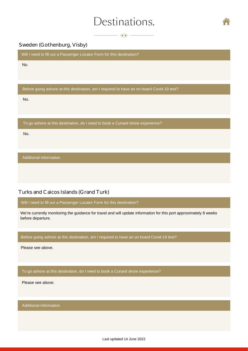$\longrightarrow$   $\bullet$   $\longrightarrow$ 



## <span id="page-20-0"></span>Sweden (Gothenburg, Visby)

Will I need to fill out a Passenger Locator Form for this destination?

No.

Before going ashore at this destination, am I required to have an on board Covid-19 test?

No.

To go ashore at this destination, do I need to book a Cunard shore experience?

No.

Additional information

### Turks and Caicos Islands (Grand Turk)

Will I need to fill out a Passenger Locator Form for this destination?

We're currently monitoring the guidance for travel and will update information for this port approximately 8 weeks before departure.

Before going ashore at this destination, am I required to have an on board Covid-19 test?

Please see above.

To go ashore at this destination, do I need to book a Cunard shore experience?

Please see above.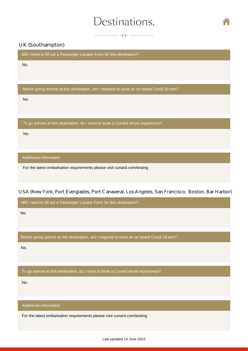$\longrightarrow$   $\bullet$   $\rightarrow$ 



## <span id="page-21-0"></span>UK (Southampton)

Will I need to fill out a Passenger Locator Form for this destination?

No.

Before going ashore at this destination, am I required to have an on board Covid-19 test?

No.

To go ashore at this destination, do I need to book a Cunard shore experience?

No.

Additional information

For the latest embarkation requirements please visit [cunard.com/testing](https://www.cunard.com/en-gb/the-cunard-experience/sailing-with-confidence/preparing-to-sail/at-the-terminal#southampton)

### USA (New York, Port Everglades, Port Canaveral, Los Angeles, San Francisco, Boston, Bar Harbor)

Will I need to fill out a Passenger Locator Form for this destination?

No.

Before going ashore at this destination, am I required to have an on board Covid-19 test?

No.

To go ashore at this destination, do I need to book a Cunard shore experience?

No.

Additional information

For the latest embarkation requirements please visi[t cunard.com/testing](www.cunard.com/testing)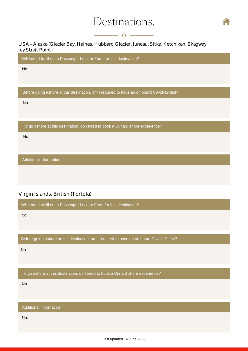

## $-\left\langle \!\!\left\langle \!\!\left\langle \!\!\left\langle \right. \!\!\left\langle \right. \right. \!\!\!\right. \left. \right. \left. \right. \right. \left. \left. \!\!\left. \right. \right. \left. \left. \right. \left. \right. \left. \left. \right. \left. \right. \left. \right. \left. \left. \right. \left. \right. \left. \left. \right. \left. \right. \left. \right. \left. \left. \right. \right. \left. \left. \right. \left. \right. \left. \left. \right. \left. \left. \right. \right. \left. \left. \right. \left. \right. \left. \left. \right. \$

<span id="page-22-0"></span>USA – Alaska (Glacier Bay, Haines, Hubbard Glacier, Juneau, Sitka, Ketchikan, Skagway, Icy Strait Point)

Will I need to fill out a Passenger Locator Form for this destination?

No.

Before going ashore at this destination, am I required to have an on board Covid-19 test?

No.

To go ashore at this destination, do I need to book a Cunard shore experience?

No.

Additional information

# Virgin Islands, British (Tortola)

Will I need to fill out a Passenger Locator Form for this destination?

No.

Before going ashore at this destination, am I required to have an on board Covid-19 test?

No.

To go ashore at this destination, do I need to book a Cunard shore experience?

No.

Additional information